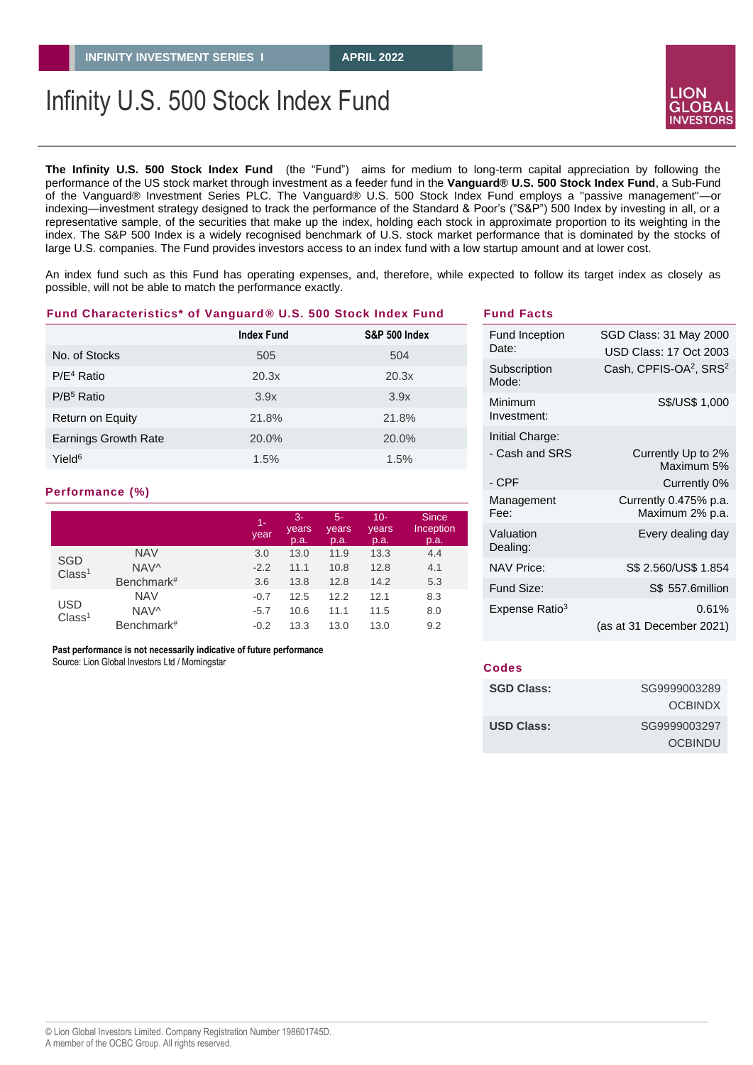# Infinity U.S. 500 Stock Index Fund

**The Infinity U.S. 500 Stock Index Fund** (the "Fund") aims for medium to long-term capital appreciation by following the performance of the US stock market through investment as a feeder fund in the **Vanguard® U.S. 500 Stock Index Fund**, a Sub-Fund of the Vanguard® Investment Series PLC. The Vanguard® U.S. 500 Stock Index Fund employs a "passive management"—or indexing—investment strategy designed to track the performance of the Standard & Poor's ("S&P") 500 Index by investing in all, or a representative sample, of the securities that make up the index, holding each stock in approximate proportion to its weighting in the index. The S&P 500 Index is a widely recognised benchmark of U.S. stock market performance that is dominated by the stocks of large U.S. companies. The Fund provides investors access to an index fund with a low startup amount and at lower cost.

An index fund such as this Fund has operating expenses, and, therefore, while expected to follow its target index as closely as possible, will not be able to match the performance exactly.

#### **Fund Characteristics\* of Vanguard***®* **U.S. 500 Stock Index Fund**

|                             | <b>Index Fund</b> | <b>S&amp;P 500 Index</b> |
|-----------------------------|-------------------|--------------------------|
| No. of Stocks               | 505               | 504                      |
| $P/E4$ Ratio                | 20.3x             | 20.3x                    |
| $P/B5$ Ratio                | 3.9x              | 3.9x                     |
| Return on Equity            | 21.8%             | 21.8%                    |
| <b>Earnings Growth Rate</b> | 20.0%             | 20.0%                    |
| Yield <sup>6</sup>          | 1.5%              | 1.5%                     |

#### **Performance (%)**

|                                  |                  | $1 -$<br>year | $3-$<br>years<br>p.a. | $5-$<br>years<br>p.a. | $10 -$<br>years<br>p.a. | <b>Since</b><br>Inception<br>p.a. |
|----------------------------------|------------------|---------------|-----------------------|-----------------------|-------------------------|-----------------------------------|
| <b>SGD</b><br>Class <sup>1</sup> | <b>NAV</b>       | 3.0           | 13.0                  | 11.9                  | 13.3                    | 4.4                               |
|                                  | NAV <sup>^</sup> | $-2.2$        | 11.1                  | 10.8                  | 12.8                    | 4.1                               |
|                                  | Benchmark#       | 3.6           | 13.8                  | 12.8                  | 14.2                    | 5.3                               |
| <b>USD</b><br>Class <sup>1</sup> | <b>NAV</b>       | $-0.7$        | 12.5                  | 12.2                  | 12.1                    | 8.3                               |
|                                  | NAV <sup>^</sup> | $-5.7$        | 10.6                  | 11.1                  | 11.5                    | 8.0                               |
|                                  | Benchmark#       | $-0.2$        | 13.3                  | 13.0                  | 13.0                    | 9.2                               |

 **Past performance is not necessarily indicative of future performance**

Source: Lion Global Investors Ltd / Morningstar

#### Fund Inception Date: SGD Class: 31 May 2000 USD Class: 17 Oct 2003 **Subscription** Mode: Cash, CPFIS-OA<sup>2</sup>, SRS<sup>2</sup> Minimum Investment: S\$/US\$ 1,000 Initial Charge: - Cash and SRS - CPF Currently Up to 2% Maximum 5% Currently 0% Management Fee: Currently 0.475% p.a. Maximum 2% p.a. Valuation Dealing: Every dealing day NAV Price: S\$ 2.560/US\$ 1.854 Fund Size: S\$ 557.6million Expense Ratio<sup>3</sup> 0.61% (as at 31 December 2021)

#### **Codes**

**Fund Facts**

| <b>SGD Class:</b> | SG9999003289   |
|-------------------|----------------|
|                   | <b>OCBINDX</b> |
| <b>USD Class:</b> | SG9999003297   |
|                   | OCBINDU        |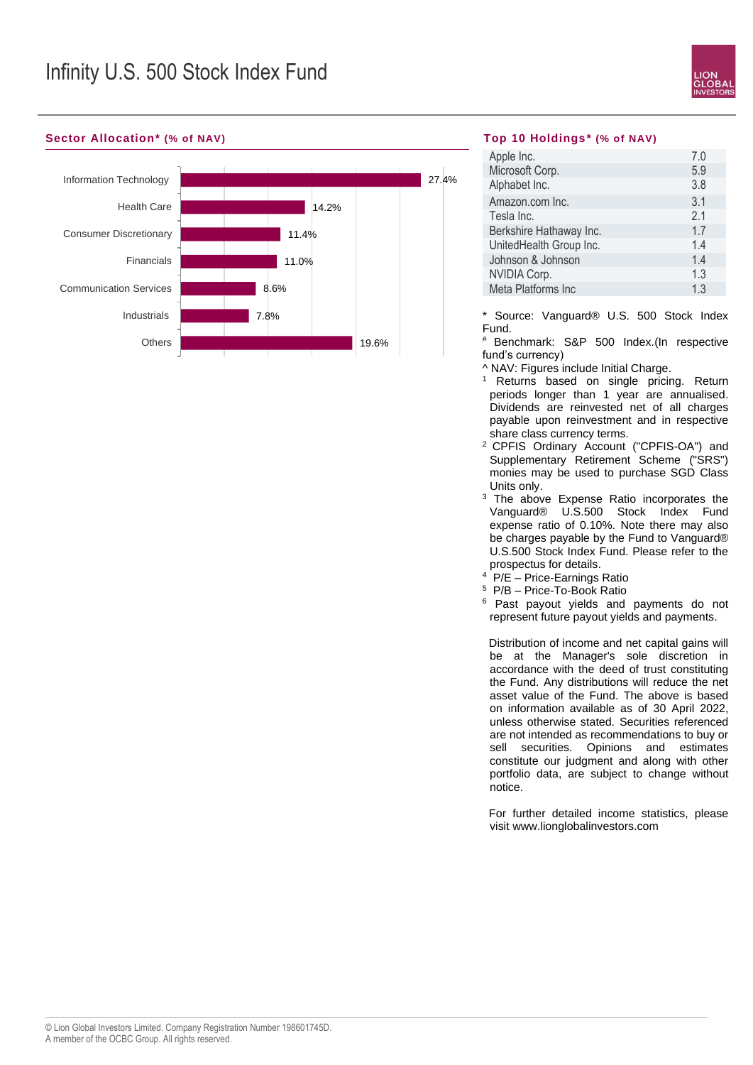

### **Sector Allocation\* (% of NAV) Top 10 Holdings\* (% of NAV)**



| Apple Inc.              | 7.0 |
|-------------------------|-----|
| Microsoft Corp.         | 5.9 |
| Alphabet Inc.           | 3.8 |
| Amazon.com Inc.         | 3.1 |
| Tesla Inc.              | 2.1 |
| Berkshire Hathaway Inc. | 1.7 |
| UnitedHealth Group Inc. | 14  |
| Johnson & Johnson       | 1.4 |
| NVIDIA Corp.            | 1.3 |
| Meta Platforms Inc      | 1.3 |

\* Source: Vanguard® U.S. 500 Stock Index Fund.

Benchmark: S&P 500 Index.(In respective fund's currency)

- ^ NAV: Figures include Initial Charge.
- <sup>1</sup> Returns based on single pricing. Return periods longer than 1 year are annualised. Dividends are reinvested net of all charges payable upon reinvestment and in respective share class currency terms.
- <sup>2</sup>CPFIS Ordinary Account ("CPFIS-OA") and Supplementary Retirement Scheme ("SRS") monies may be used to purchase SGD Class Units only.
- <sup>3</sup> The above Expense Ratio incorporates the Vanguard® U.S.500 Stock Index Fund expense ratio of 0.10%. Note there may also be charges payable by the Fund to Vanguard® U.S.500 Stock Index Fund. Please refer to the prospectus for details.
- <sup>4</sup> P/E Price-Earnings Ratio
- <sup>5</sup> P/B Price-To-Book Ratio
- <sup>6</sup> Past payout yields and payments do not represent future payout yields and payments.

 Distribution of income and net capital gains will be at the Manager's sole discretion in accordance with the deed of trust constituting the Fund. Any distributions will reduce the net asset value of the Fund. The above is based on information available as of 30 April 2022, unless otherwise stated. Securities referenced are not intended as recommendations to buy or sell securities. Opinions and estimates constitute our judgment and along with other portfolio data, are subject to change without notice.

 For further detailed income statistics, please visit www.lionglobalinvestors.com